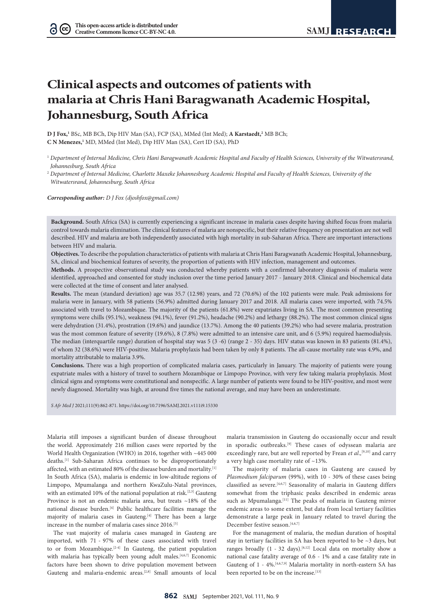$(cc)$ 

# **Clinical aspects and outcomes of patients with malaria at Chris Hani Baragwanath Academic Hospital, Johannesburg, South Africa**

**D J Fox,**<sup>1</sup> BSc, MB BCh, Dip HIV Man (SA), FCP (SA), MMed (Int Med); **A Karstaedt**,<sup>2</sup> MB BCh; **C N Menezes,1** MD, MMed (Int Med), Dip HIV Man (SA), Cert ID (SA), PhD

<sup>2</sup> Department of Internal Medicine, Charlotte Maxeke Johannesburg Academic Hospital and Faculty of Health Sciences, University of the *Witwatersrand, Johannesburg, South Africa*

*Corresponding author: D J Fox ([djoshfox@gmail.com](mailto:djoshfox@gmail.com))*

**Background.** South Africa (SA) is currently experiencing a significant increase in malaria cases despite having shifted focus from malaria control towards malaria elimination. The clinical features of malaria are nonspecific, but their relative frequency on presentation are not well described. HIV and malaria are both independently associated with high mortality in sub-Saharan Africa. There are important interactions between HIV and malaria.

**Objectives.** To describe the population characteristics of patients with malaria at Chris Hani Baragwanath Academic Hospital, Johannesburg, SA, clinical and biochemical features of severity, the proportion of patients with HIV infection, management and outcomes.

**Methods.** A prospective observational study was conducted whereby patients with a confirmed laboratory diagnosis of malaria were identified, approached and consented for study inclusion over the time period January 2017 - January 2018. Clinical and biochemical data were collected at the time of consent and later analysed.

**Results.** The mean (standard deviation) age was 35.7 (12.98) years, and 72 (70.6%) of the 102 patients were male. Peak admissions for malaria were in January, with 58 patients (56.9%) admitted during January 2017 and 2018. All malaria cases were imported, with 74.5% associated with travel to Mozambique. The majority of the patients (61.8%) were expatriates living in SA. The most common presenting symptoms were chills (95.1%), weakness (94.1%), fever (91.2%), headache (90.2%) and lethargy (88.2%). The most common clinical signs were dehydration (31.4%), prostration (19.6%) and jaundice (13.7%). Among the 40 patients (39.2%) who had severe malaria, prostration was the most common feature of severity (19.6%), 8 (7.8%) were admitted to an intensive care unit, and 6 (5.9%) required haemodialysis. The median (interquartile range) duration of hospital stay was 5 (3 -6) (range 2 - 35) days. HIV status was known in 83 patients (81.4%), of whom 32 (38.6%) were HIV-positive. Malaria prophylaxis had been taken by only 8 patients. The all-cause mortality rate was 4.9%, and mortality attributable to malaria 3.9%.

**Conclusions.** There was a high proportion of complicated malaria cases, particularly in January. The majority of patients were young expatriate males with a history of travel to southern Mozambique or Limpopo Province, with very few taking malaria prophylaxis. Most clinical signs and symptoms were constitutional and nonspecific. A large number of patients were found to be HIV-positive, and most were newly diagnosed. Mortality was high, at around five times the national average, and may have been an underestimate.

*S Afr Med J* 2021;111(9):862-871.<https://doi.org/10.7196/SAMJ.2021.v111i9.15330>

Malaria still imposes a significant burden of disease throughout the world. Approximately 216 million cases were reported by the World Health Organization (WHO) in 2016, together with ~445 000 deaths.[1] Sub-Saharan Africa continues to be disproportionately affected, with an estimated 80% of the disease burden and mortality.<sup>[1]</sup> In South Africa (SA), malaria is endemic in low-altitude regions of Limpopo, Mpumalanga and northern KwaZulu-Natal provinces, with an estimated 10% of the national population at risk.<sup>[2,3]</sup> Gauteng Province is not an endemic malaria area, but treats ~18% of the national disease burden.[4] Public healthcare facilities manage the majority of malaria cases in Gauteng.<sup>[4]</sup> There has been a large increase in the number of malaria cases since 2016.[5]

The vast majority of malaria cases managed in Gauteng are imported, with 71 - 97% of these cases associated with travel to or from Mozambique.<sup>[2-4]</sup> In Gauteng, the patient population with malaria has typically been young adult males.<sup>[4,6,7]</sup> Economic factors have been shown to drive population movement between Gauteng and malaria-endemic areas.[2,8] Small amounts of local malaria transmission in Gauteng do occasionally occur and result in sporadic outbreaks.[9] These cases of odyssean malaria are exceedingly rare, but are well reported by Frean *et al.*,<sup>[9,10]</sup> and carry a very high case mortality rate of ~13%.

The majority of malaria cases in Gauteng are caused by *Plasmodium falciparum* (99%), with 10 - 30% of these cases being classified as severe.<sup>[4,6,7]</sup> Seasonality of malaria in Gauteng differs somewhat from the triphasic peaks described in endemic areas such as Mpumalanga.<sup>[11]</sup> The peaks of malaria in Gauteng mirror endemic areas to some extent, but data from local tertiary facilities demonstrate a large peak in January related to travel during the December festive season.[4,6,7]

For the management of malaria, the median duration of hospital stay in tertiary facilities in SA has been reported to be ~3 days, but ranges broadly  $(1 - 32 \text{ days})$ .<sup>[6,12]</sup> Local data on mortality show a national case fatality average of 0.6 - 1% and a case fatality rate in Gauteng of 1 - 4%.[4,6,7,9] Malaria mortality in north-eastern SA has been reported to be on the increase.<sup>[13]</sup>

<sup>1</sup> *Department of Internal Medicine, Chris Hani Baragwanath Academic Hospital and Faculty of Health Sciences, University of the Witwatersrand, Johannesburg, South Africa*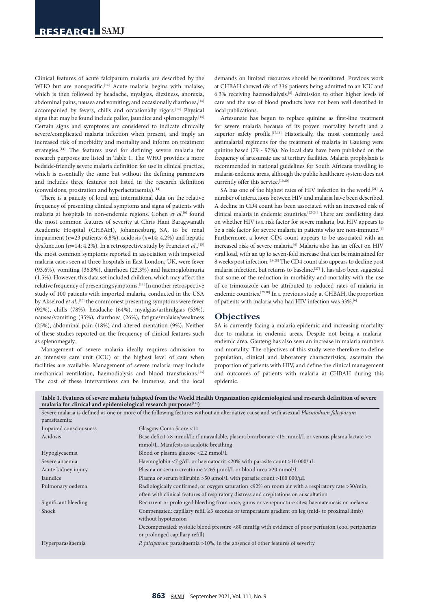Clinical features of acute falciparum malaria are described by the WHO but are nonspecific.<sup>[14]</sup> Acute malaria begins with malaise, which is then followed by headache, myalgias, dizziness, anorexia, abdominal pains, nausea and vomiting, and occasionally diarrhoea, <a>[14]</a> accompanied by fevers, chills and occasionally rigors.<sup>[14]</sup> Physical signs that may be found include pallor, jaundice and splenomegaly.<sup>[14]</sup> Certain signs and symptoms are considered to indicate clinically severe/complicated malaria infection when present, and imply an increased risk of morbidity and mortality and inform on treatment strategies.[14] The features used for defining severe malaria for research purposes are listed in Table 1. The WHO provides a more bedside-friendly severe malaria definition for use in clinical practice, which is essentially the same but without the defining parameters and includes three features not listed in the research definition (convulsions, prostration and hyperlactataemia).[14]

There is a paucity of local and international data on the relative frequency of presenting clinical symptoms and signs of patients with malaria at hospitals in non-endemic regions. Cohen *et al*. [6] found the most common features of severity at Chris Hani Baragwanath Academic Hospital (CHBAH), Johannesburg, SA, to be renal impairment (*n*=23 patients; 6.8%), acidosis (*n*=14; 4.2%) and hepatic dysfunction ( $n=14$ ; 4.2%). In a retrospective study by Francis *et al.*,<sup>[15]</sup> the most common symptoms reported in association with imported malaria cases seen at three hospitals in East London, UK, were fever (93.6%), vomiting (36.8%), diarrhoea (23.3%) and haemoglobinuria (1.5%). However, this data set included children, which may affect the relative frequency of presenting symptoms.[14] In another retrospective study of 100 patients with imported malaria, conducted in the USA by Akselrod *et al.*,<sup>[16]</sup> the commonest presenting symptoms were fever (92%), chills (78%), headache (64%), myalgias/arthralgias (53%), nausea/vomiting (35%), diarrhoea (26%), fatigue/malaise/weakness (25%), abdominal pain (18%) and altered mentation (9%). Neither of these studies reported on the frequency of clinical features such as splenomegaly.

Management of severe malaria ideally requires admission to an intensive care unit (ICU) or the highest level of care when facilities are available. Management of severe malaria may include mechanical ventilation, haemodialysis and blood transfusions.[14] The cost of these interventions can be immense, and the local

demands on limited resources should be monitored. Previous work at CHBAH showed 6% of 336 patients being admitted to an ICU and 6.3% receiving haemodialysis.[6] Admission to other higher levels of care and the use of blood products have not been well described in local publications.

Artesunate has begun to replace quinine as first-line treatment for severe malaria because of its proven mortality benefit and a superior safety profile.<sup>[17,18]</sup> Historically, the most commonly used antimalarial regimens for the treatment of malaria in Gauteng were quinine based (79 - 97%). No local data have been published on the frequency of artesunate use at tertiary facilities. Malaria prophylaxis is recommended in national guidelines for South Africans travelling to malaria-endemic areas, although the public healthcare system does not currently offer this service.<sup>[19,20]</sup>

SA has one of the highest rates of HIV infection in the world.<sup>[21]</sup> A number of interactions between HIV and malaria have been described. A decline in CD4 count has been associated with an increased risk of clinical malaria in endemic countries.[22-24] There are conflicting data on whether HIV is a risk factor for severe malaria, but HIV appears to be a risk factor for severe malaria in patients who are non-immune.<sup>[6]</sup> Furthermore, a lower CD4 count appears to be associated with an increased risk of severe malaria.<sup>[6]</sup> Malaria also has an effect on HIV viral load, with an up to seven-fold increase that can be maintained for 8 weeks post infection.[25-28] The CD4 count also appears to decline post malaria infection, but returns to baseline.[27] It has also been suggested that some of the reduction in morbidity and mortality with the use of co-trimoxazole can be attributed to reduced rates of malaria in endemic countries.[29,30] In a previous study at CHBAH, the proportion of patients with malaria who had HIV infection was 33%.[6]

## **Objectives**

SA is currently facing a malaria epidemic and increasing mortality due to malaria in endemic areas. Despite not being a malariaendemic area, Gauteng has also seen an increase in malaria numbers and mortality. The objectives of this study were therefore to define population, clinical and laboratory characteristics, ascertain the proportion of patients with HIV, and define the clinical management and outcomes of patients with malaria at CHBAH during this epidemic.

**Table 1. Features of severe malaria (adapted from the World Health Organization epidemiological and research definition of severe**  malaria for clinical and epidemiological research purposes<sup>[14]</sup>)

| parasitaemia:          | Severe malaria is defined as one or more of the following features without an alternative cause and with asexual Plasmodium falciparum                                                    |
|------------------------|-------------------------------------------------------------------------------------------------------------------------------------------------------------------------------------------|
| Impaired consciousness | Glasgow Coma Score <11                                                                                                                                                                    |
| Acidosis               | Base deficit >8 mmol/L; if unavailable, plasma bicarbonate <15 mmol/L or venous plasma lactate >5<br>mmol/L. Manifests as acidotic breathing                                              |
| Hypoglycaemia          | Blood or plasma glucose <2.2 mmol/L                                                                                                                                                       |
| Severe anaemia         | Haemoglobin <7 g/dL or haematocrit <20% with parasite count >10 000/ $\mu$ L                                                                                                              |
| Acute kidney injury    | Plasma or serum creatinine >265 $\mu$ mol/L or blood urea >20 mmol/L                                                                                                                      |
| Jaundice               | Plasma or serum bilirubin >50 $\mu$ mol/L with parasite count >100 000/ $\mu$ L                                                                                                           |
| Pulmonary oedema       | Radiologically confirmed, or oxygen saturation <92% on room air with a respiratory rate >30/min,<br>often with clinical features of respiratory distress and crepitations on auscultation |
| Significant bleeding   | Recurrent or prolonged bleeding from nose, gums or venepuncture sites; haematemesis or melaena                                                                                            |
| Shock                  | Compensated: capillary refill $\geq$ 3 seconds or temperature gradient on leg (mid- to proximal limb)<br>without hypotension                                                              |
|                        | Decompensated: systolic blood pressure <80 mmHg with evidence of poor perfusion (cool peripheries<br>or prolonged capillary refill)                                                       |
| Hyperparasitaemia      | <i>P. falciparum</i> parasitaemia >10%, in the absence of other features of severity                                                                                                      |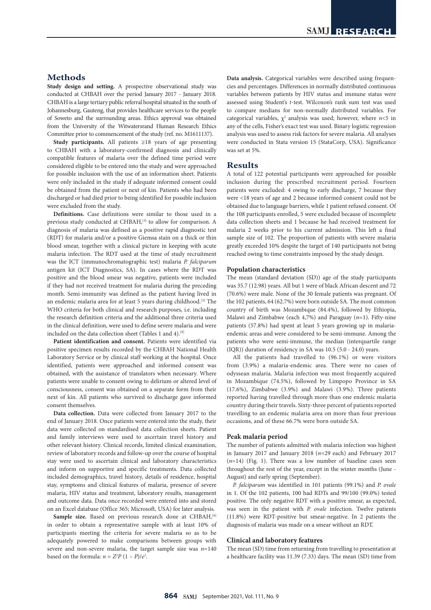## **Methods**

**Study design and setting.** A prospective observational study was conducted at CHBAH over the period January 2017 - January 2018. CHBAH is a large tertiary public referral hospital situated in the south of Johannesburg, Gauteng, that provides healthcare services to the people of Soweto and the surrounding areas. Ethics approval was obtained from the University of the Witwatersrand Human Research Ethics Committee prior to commencement of the study (ref. no. M1611137).

**Study participants.** All patients ≥18 years of age presenting to CHBAH with a laboratory-confirmed diagnosis and clinically compatible features of malaria over the defined time period were considered eligible to be entered into the study and were approached for possible inclusion with the use of an information sheet. Patients were only included in the study if adequate informed consent could be obtained from the patient or next of kin. Patients who had been discharged or had died prior to being identified for possible inclusion were excluded from the study.

**Definitions.** Case definitions were similar to those used in a previous study conducted at CHBAH,<sup>[3]</sup> to allow for comparison. A diagnosis of malaria was defined as a positive rapid diagnostic test (RDT) for malaria and/or a positive Giemsa stain on a thick or thin blood smear, together with a clinical picture in keeping with acute malaria infection. The RDT used at the time of study recruitment was the ICT (immunochromatographic test) malaria *P. falciparum* antigen kit (ICT Diagnostics, SA). In cases where the RDT was positive and the blood smear was negative, patients were included if they had not received treatment for malaria during the preceding month. Semi-immunity was defined as the patient having lived in an endemic malaria area for at least 5 years during childhood.<sup>[3]</sup> The WHO criteria for both clinical and research purposes, i.e. including the research definition criteria and the additional three criteria used in the clinical definition, were used to define severe malaria and were included on the data collection sheet (Tables 1 and 4).<sup>[9]</sup>

**Patient identification and consent.** Patients were identified via positive specimen results recorded by the CHBAH National Health Laboratory Service or by clinical staff working at the hospital. Once identified, patients were approached and informed consent was obtained, with the assistance of translators when necessary. Where patients were unable to consent owing to delirium or altered level of consciousness, consent was obtained on a separate form from their next of kin. All patients who survived to discharge gave informed consent themselves.

**Data collection.** Data were collected from January 2017 to the end of January 2018. Once patients were entered into the study, their data were collected on standardised data collection sheets. Patient and family interviews were used to ascertain travel history and other relevant history. Clinical records, limited clinical examination, review of laboratory records and follow-up over the course of hospital stay were used to ascertain clinical and laboratory characteristics and inform on supportive and specific treatments. Data collected included demographics, travel history, details of residence, hospital stay, symptoms and clinical features of malaria, presence of severe malaria, HIV status and treatment, laboratory results, management and outcome data. Data once recorded were entered into and stored on an Excel database (Office 365; Microsoft, USA) for later analysis.

Sample size. Based on previous research done at CHBAH,<sup>[6]</sup> in order to obtain a representative sample with at least 10% of participants meeting the criteria for severe malaria so as to be adequately powered to make comparisons between groups with severe and non-severe malaria, the target sample size was *n*=140 based on the formula:  $n = Z^2P(1 - P)/e^2$ .

**Data analysis.** Categorical variables were described using frequencies and percentages. Differences in normally distributed continuous variables between patients by HIV status and immune status were assessed using Student's *t*-test. Wilcoxon's rank sum test was used to compare medians for non-normally distributed variables. For categorical variables,  $\chi^2$  analysis was used; however, where  $n < 5$  in any of the cells, Fisher's exact test was used. Binary logistic regression analysis was used to assess risk factors for severe malaria. All analyses were conducted in Stata version 15 (StataCorp, USA). Significance was set at 5%.

## **Results**

A total of 122 potential participants were approached for possible inclusion during the prescribed recruitment period. Fourteen patients were excluded: 4 owing to early discharge, 7 because they were <18 years of age and 2 because informed consent could not be obtained due to language barriers, while 1 patient refused consent. Of the 108 participants enrolled, 5 were excluded because of incomplete data collection sheets and 1 because he had received treatment for malaria 2 weeks prior to his current admission. This left a final sample size of 102. The proportion of patients with severe malaria greatly exceeded 10% despite the target of 140 participants not being reached owing to time constraints imposed by the study design.

#### **Population characteristics**

The mean (standard deviation (SD)) age of the study participants was 35.7 (12.98) years. All but 1 were of black African descent and 72 (70.6%) were male. None of the 30 female patients was pregnant. Of the 102 patients, 64 (62.7%) were born outside SA. The most common country of birth was Mozambique (84.4%), followed by Ethiopia, Malawi and Zimbabwe (each 4,7%) and Paraguay (*n*=1). Fifty-nine patients (57.8%) had spent at least 5 years growing up in malariaendemic areas and were considered to be semi-immune. Among the patients who were semi-immune, the median (interquartile range (IQR)) duration of residency in SA was 10.5 (5.0 - 24.0) years.

All the patients had travelled to (96.1%) or were visitors from (3.9%) a malaria-endemic area. There were no cases of odyssean malaria. Malaria infection was most frequently acquired in Mozambique (74.5%), followed by Limpopo Province in SA (17.6%), Zimbabwe (3.9%) and Malawi (3.9%). Three patients reported having travelled through more than one endemic malaria country during their travels. Sixty-three percent of patients reported travelling to an endemic malaria area on more than four previous occasions, and of these 66.7% were born outside SA.

#### **Peak malaria period**

The number of patients admitted with malaria infection was highest in January 2017 and January 2018 (*n*=29 each) and February 2017  $(n=14)$  (Fig. 1). There was a low number of baseline cases seen throughout the rest of the year, except in the winter months (June - August) and early spring (September).

*P. falciparum* was identified in 101 patients (99.1%) and *P. ovale*  in 1. Of the 102 patients, 100 had RDTs and 99/100 (99.0%) tested positive. The only negative RDT with a positive smear, as expected, was seen in the patient with *P. ovale* infection*.* Twelve patients (11.8%) were RDT-positive but smear-negative. In 2 patients the diagnosis of malaria was made on a smear without an RDT.

#### **Clinical and laboratory features**

The mean (SD) time from returning from travelling to presentation at a healthcare facility was 11.39 (7.33) days. The mean (SD) time from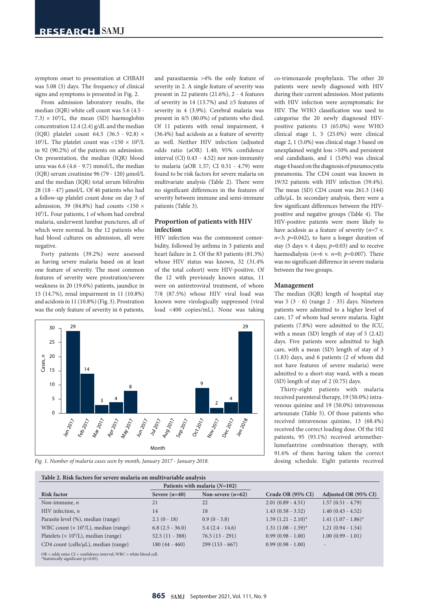symptom onset to presentation at CHBAH was 5.08 (3) days. The frequency of clinical signs and symptoms is presented in Fig. 2.

From admission laboratory results, the median (IQR) white cell count was 5.6 (4.5 -  $(7.3) \times 10^9$ /L, the mean (SD) haemoglobin concentration 12.4 (2.4) g/dL and the median (IQR) platelet count 64.5 (36.5 - 92.8) × 10<sup>9</sup>/L. The platelet count was <150  $\times$  10<sup>9</sup>/L in 92 (90.2%) of the patients on admission. On presentation, the median (IQR) blood urea was 6.6 (4.6 - 9.7) mmol/L, the median (IQR) serum creatinine 96 (79 - 120) µmol/L and the median (IQR) total serum bilirubin 28 (18 - 47) µmol/L. Of 46 patients who had a follow-up platelet count done on day 3 of admission, 39 (84.8%) had counts <150  $\times$ 109 /L. Four patients, 1 of whom had cerebral malaria, underwent lumbar punctures, all of which were normal. In the 12 patients who had blood cultures on admission, all were negative.

Forty patients (39.2%) were assessed as having severe malaria based on at least one feature of severity. The most common features of severity were prostration/severe weakness in 20 (19.6%) patients, jaundice in 15 (14.7%), renal impairment in 11 (10.8%) and acidosis in 11 (10.8%) (Fig. 3). Prostration was the only feature of severity in 6 patients, and parasitaemia >4% the only feature of severity in 2. A single feature of severity was present in 22 patients (21.6%), 2 - 4 features of severity in 14 (13.7%) and ≥5 features of severity in 4 (3.9%). Cerebral malaria was present in 4/5 (80.0%) of patients who died. Of 11 patients with renal impairment, 4 (36.4%) had acidosis as a feature of severity as well. Neither HIV infection (adjusted odds ratio (aOR) 1.40; 95% confidence interval (CI) 0.43 - 4.52) nor non-immunity to malaria (aOR 1.57; CI 0.51 - 4.79) were found to be risk factors for severe malaria on multivariate analysis (Table 2). There were no significant differences in the features of severity between immune and semi-immune patients (Table 3).

## **Proportion of patients with HIV infection**

HIV infection was the commonest comorbidity, followed by asthma in 3 patients and heart failure in 2. Of the 83 patients (81.3%) whose HIV status was known, 32 (31.4% of the total cohort) were HIV-positive. Of the 12 with previously known status, 11 were on antiretroviral treatment, of whom 7/8 (87.5%) whose HIV viral load was known were virologically suppressed (viral load <400 copies/mL). None was taking



co-trimoxazole prophylaxis. The other 20

#### **Management**

The median (IQR) length of hospital stay was 5 (3 - 6) (range 2 - 35) days. Nineteen patients were admitted to a higher level of care, 17 of whom had severe malaria. Eight patients (7.8%) were admitted to the ICU, with a mean (SD) length of stay of 5 (2.42) days. Five patients were admitted to high care, with a mean (SD) length of stay of 3 (1.83) days, and 6 patients (2 of whom did not have features of severe malaria) were admitted to a short-stay ward, with a mean (SD) length of stay of 2 (0.75) days.

Thirty-eight patients with malaria received parenteral therapy, 19 (50.0%) intravenous quinine and 19 (50.0%) intravenous artesunate (Table 5). Of those patients who received intravenous quinine, 13 (68.4%) received the correct loading dose. Of the 102 patients, 95 (93.1%) received artemetherlumefantrine combination therapy, with 91.6% of them having taken the correct dosing schedule. Eight patients received



*Fig. 1. Number of malaria cases seen by month, January 2017 - January 2018.*

| Table 2. Risk factors for severe malaria on multivariable analysis |                                 |                     |                         |                        |  |
|--------------------------------------------------------------------|---------------------------------|---------------------|-------------------------|------------------------|--|
|                                                                    | Patients with malaria $(N=102)$ |                     |                         |                        |  |
| <b>Risk factor</b>                                                 | Severe $(n=40)$                 | Non-severe $(n=62)$ | Crude OR (95% CI)       | Adjusted OR (95% CI)   |  |
| Non-immune, $n$                                                    | 21                              | 22                  | $2.01(0.89 - 4.51)$     | $1.57(0.51 - 4.79)$    |  |
| HIV infection, $n$                                                 | 14                              | 18                  | $1.43(0.58 - 3.52)$     | $1.40(0.43 - 4.52)$    |  |
| Parasite level (%), median (range)                                 | $2.1(0-18)$                     | $0.9(0 - 3.8)$      | $1.59(1.21 - 2.10)^{*}$ | $1.41 (1.07 - 1.86)^*$ |  |
| WBC count $(x 109/L)$ , median (range)                             | $6.8(2.5 - 36.0)$               | $5.4(2.4 - 14.6)$   | $1.31 (1.08 - 1.59)^*$  | $1.21(0.94 - 1.54)$    |  |
| Platelets ( $\times$ 10 <sup>9</sup> /L), median (range)           | $52.5(11 - 388)$                | $76.5(13 - 291)$    | $0.99(0.98 - 1.00)$     | $1.00(0.99 - 1.01)$    |  |
| $CD4$ count (cells/ $\mu$ L), median (range)                       | $180(44 - 460)$                 | $299(153 - 667)$    | $0.99(0.98 - 1.00)$     |                        |  |

OR = odds ratio; CI = confidence interval; WBC = white blood cell. \*Statistically significant (*p*<0.05).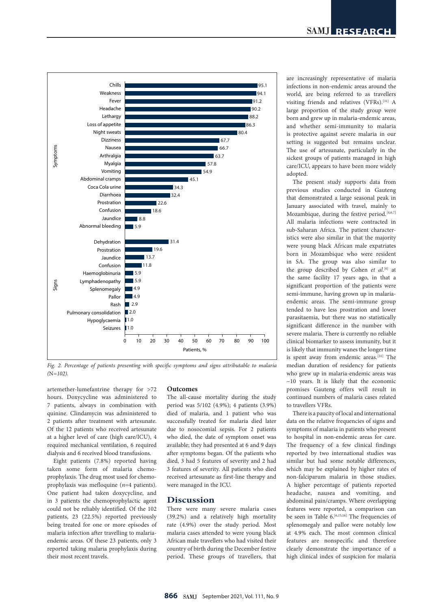

*Fig. 2. Percentage of patients presenting with specific symptoms and signs attributable to malaria (*N*=102).*

artemether-lumefantrine therapy for >72 hours. Doxycycline was administered to 7 patients, always in combination with quinine. Clindamycin was administered to 2 patients after treatment with artesunate. Of the 12 patients who received artesunate at a higher level of care (high care/ICU), 4 required mechanical ventilation, 6 required dialysis and 6 received blood transfusions.

Eight patients (7.8%) reported having taken some form of malaria chemoprophylaxis. The drug most used for chemoprophylaxis was mefloquine (*n*=4 patients). One patient had taken doxycycline, and in 3 patients the chemoprophylactic agent could not be reliably identified. Of the 102 patients, 23 (22.5%) reported previously being treated for one or more episodes of malaria infection after travelling to malariaendemic areas. Of these 23 patients, only 3 reported taking malaria prophylaxis during their most recent travels.

## **Outcomes**

The all-cause mortality during the study period was 5/102 (4.9%); 4 patients (3.9%) died of malaria, and 1 patient who was successfully treated for malaria died later due to nosocomial sepsis. For 2 patients who died, the date of symptom onset was available; they had presented at 6 and 9 days after symptoms began. Of the patients who died, 3 had 5 features of severity and 2 had 3 features of severity. All patients who died received artesunate as first-line therapy and were managed in the ICU.

## **Discussion**

There were many severe malaria cases (39.2%) and a relatively high mortality rate (4.9%) over the study period. Most malaria cases attended to were young black African male travellers who had visited their country of birth during the December festive period. These groups of travellers, that are increasingly representative of malaria infections in non-endemic areas around the world, are being referred to as travellers visiting friends and relatives (VFRs).[31] A large proportion of the study group were born and grew up in malaria-endemic areas, and whether semi-immunity to malaria is protective against severe malaria in our setting is suggested but remains unclear. The use of artesunate, particularly in the sickest groups of patients managed in high care/ICU, appears to have been more widely adopted.

The present study supports data from previous studies conducted in Gauteng that demonstrated a large seasonal peak in January associated with travel, mainly to Mozambique, during the festive period.<sup>[4,6,7]</sup> All malaria infections were contracted in sub-Saharan Africa. The patient characteristics were also similar in that the majority were young black African male expatriates born in Mozambique who were resident in SA. The group was also similar to the group described by Cohen et al.<sup>[6]</sup> at the same facility 17 years ago, in that a significant proportion of the patients were semi-immune, having grown up in malariaendemic areas. The semi-immune group tended to have less prostration and lower parasitaemia, but there was no statistically significant difference in the number with severe malaria. There is currently no reliable clinical biomarker to assess immunity, but it is likely that immunity wanes the longer time is spent away from endemic areas.<sup>[31]</sup> The median duration of residency for patients who grew up in malaria-endemic areas was  $~10$  years. It is likely that the economic promises Gauteng offers will result in continued numbers of malaria cases related to travellers VFRs.

There is a paucity of local and international data on the relative frequencies of signs and symptoms of malaria in patients who present to hospital in non-endemic areas for care. The frequency of a few clinical findings reported by two international studies was similar but had some notable differences, which may be explained by higher rates of non-falciparum malaria in those studies. A higher percentage of patients reported headache, nausea and vomiting, and abdominal pain/cramps. Where overlapping features were reported, a comparison can be seen in Table 6.<sup>[6,15,16]</sup> The frequencies of splenomegaly and pallor were notably low at 4.9% each. The most common clinical features are nonspecific and therefore clearly demonstrate the importance of a high clinical index of suspicion for malaria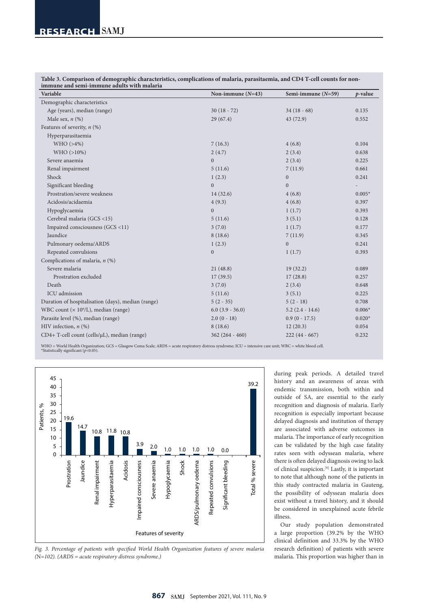| 111111111111C and schif-himmunc adults with maiaria<br>Variable | Non-immune $(N=43)$  | Semi-immune $(N=59)$ | p-value  |
|-----------------------------------------------------------------|----------------------|----------------------|----------|
| Demographic characteristics                                     |                      |                      |          |
| Age (years), median (range)                                     | $30(18 - 72)$        | $34(18-68)$          | 0.135    |
| Male sex, $n$ (%)                                               | 29(67.4)             | 43(72.9)             | 0.552    |
| Features of severity, $n$ (%)                                   |                      |                      |          |
| Hyperparasitaemia                                               |                      |                      |          |
| WHO(>4%)                                                        | 7(16.3)              | 4(6.8)               | 0.104    |
| $WHO (>10\%)$                                                   | 2(4.7)               | 2(3.4)               | 0.638    |
| Severe anaemia                                                  | $\overline{0}$       | 2(3.4)               | 0.225    |
| Renal impairment                                                | 5(11.6)              | 7(11.9)              | 0.661    |
| Shock                                                           | 1(2.3)               | $\boldsymbol{0}$     | 0.241    |
| Significant bleeding                                            | $\Omega$             | $\boldsymbol{0}$     |          |
| Prostration/severe weakness                                     | 14(32.6)             | 4(6.8)               | $0.005*$ |
| Acidosis/acidaemia                                              | 4(9.3)               | 4(6.8)               | 0.397    |
| Hypoglycaemia                                                   | $\overline{0}$       | 1(1.7)               | 0.393    |
| Cerebral malaria (GCS <15)                                      | 5(11.6)              | 3(5.1)               | 0.128    |
| Impaired consciousness (GCS <11)                                | 3(7.0)               | 1(1.7)               | 0.177    |
| Jaundice                                                        | 8(18.6)              | 7(11.9)              | 0.345    |
| Pulmonary oedema/ARDS                                           | 1(2.3)               | $\mathbf{0}$         | 0.241    |
| Repeated convulsions                                            | $\overline{0}$       | 1(1.7)               | 0.393    |
| Complications of malaria, $n$ (%)                               |                      |                      |          |
| Severe malaria                                                  | 21(48.8)             | 19(32.2)             | 0.089    |
| Prostration excluded                                            | 17(39.5)             | 17(28.8)             | 0.257    |
| Death                                                           | 3(7.0)               | 2(3.4)               | 0.648    |
| ICU admission                                                   | 5(11.6)              | 3(5.1)               | 0.225    |
| Duration of hospitalisation (days), median (range)              | $5(2 - 35)$          | $5(2-18)$            | 0.708    |
| WBC count ( $\times$ 10 <sup>9</sup> /L), median (range)        | $6.0$ $(3.9 - 36.0)$ | $5.2(2.4 - 14.6)$    | $0.006*$ |
| Parasite level (%), median (range)                              | $2.0(0 - 18)$        | $0.9(0 - 17.5)$      | $0.020*$ |
| HIV infection, $n$ (%)                                          | 8(18.6)              | 12(20.3)             | 0.054    |
| CD4+ T-cell count (cells/µL), median (range)                    | $362(264 - 460)$     | $222(44 - 667)$      | 0.232    |

**Table 3. Comparison of demographic characteristics, complications of malaria, parasitaemia, and CD4 T-cell counts for nonimmune and semi-immune adults with malaria**

WHO = World Health Organization; GCS = Glasgow Coma Scale; ARDS = acute respiratory distress syndrome; ICU = intensive care unit; WBC = white blood cell. \*Statistically significant (*p*<0.05).



*Fig. 3. Percentage of patients with specified World Health Organization features of severe malaria (*N*=102). (ARDS = acute respiratory distress syndrome.)*

during peak periods. A detailed travel history and an awareness of areas with endemic transmission, both within and outside of SA, are essential to the early recognition and diagnosis of malaria. Early recognition is especially important because delayed diagnosis and institution of therapy are associated with adverse outcomes in malaria. The importance of early recognition can be validated by the high case fatality rates seen with odyssean malaria, where there is often delayed diagnosis owing to lack of clinical suspicion.[9] Lastly, it is important to note that although none of the patients in this study contracted malaria in Gauteng, the possibility of odyssean malaria does exist without a travel history, and it should be considered in unexplained acute febrile illness.

Our study population demonstrated a large proportion (39.2% by the WHO clinical definition and 33.3% by the WHO research definition) of patients with severe malaria. This proportion was higher than in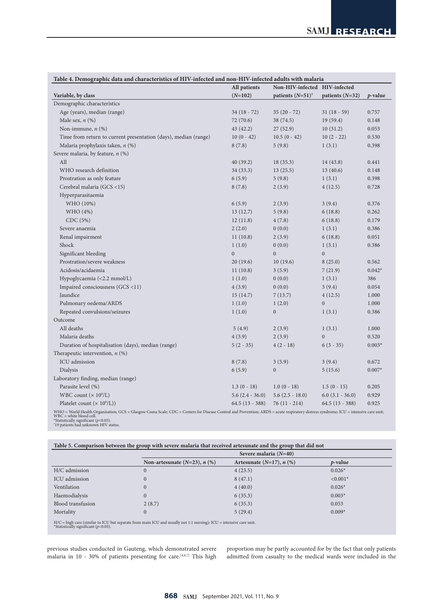|                                                                                                                                                                                     | All patients      | Non-HIV-infected HIV-infected |                      |            |
|-------------------------------------------------------------------------------------------------------------------------------------------------------------------------------------|-------------------|-------------------------------|----------------------|------------|
| Variable, by class                                                                                                                                                                  | $(N=102)$         | patients $(N=51)^+$           | patients $(N=32)$    | $p$ -value |
| Demographic characteristics                                                                                                                                                         |                   |                               |                      |            |
| Age (years), median (range)                                                                                                                                                         | $34(18 - 72)$     | $35(20 - 72)$                 | $31(18-59)$          | 0.757      |
| Male sex, $n$ $(\%)$                                                                                                                                                                | 72(70.6)          | 38 (74.5)                     | 19(59.4)             | 0.148      |
| Non-immune, $n$ $(\%)$                                                                                                                                                              | 43(42.2)          | 27(52.9)                      | 10(31.2)             | 0.053      |
| Time from return to current presentation (days), median (range)                                                                                                                     | $10(0 - 42)$      | $10.5(0 - 42)$                | $10(2 - 22)$         | 0.530      |
| Malaria prophylaxis taken, n (%)                                                                                                                                                    | 8(7.8)            | 5(9.8)                        | 1(3.1)               | 0.398      |
| Severe malaria, by feature, n (%)                                                                                                                                                   |                   |                               |                      |            |
| All                                                                                                                                                                                 | 40(39.2)          | 18(35.3)                      | 14(43.8)             | 0.441      |
| WHO research definition                                                                                                                                                             | 34(33.3)          | 13(25.5)                      | 13(40.6)             | 0.148      |
| Prostration as only feature                                                                                                                                                         | 6(5.9)            | 5(9.8)                        | 1(3.1)               | 0.398      |
| Cerebral malaria (GCS <15)                                                                                                                                                          | 8(7.8)            | 2(3.9)                        | 4(12.5)              | 0.728      |
| Hyperparasitaemia                                                                                                                                                                   |                   |                               |                      |            |
| WHO (10%)                                                                                                                                                                           | 6(5.9)            | 2(3.9)                        | 3(9.4)               | 0.376      |
| WHO (4%)                                                                                                                                                                            | 13(12.7)          | 5(9.8)                        | 6(18.8)              | 0.262      |
| CDC (5%)                                                                                                                                                                            | 12(11.8)          | 4(7.8)                        | 6(18.8)              | 0.179      |
| Severe anaemia                                                                                                                                                                      | 2(2.0)            | 0(0.0)                        | 1(3.1)               | 0.386      |
| Renal impairment                                                                                                                                                                    | 11(10.8)          | 2(3.9)                        | 6(18.8)              | 0.051      |
| Shock                                                                                                                                                                               | 1(1.0)            | 0(0.0)                        | 1(3.1)               | 0.386      |
| Significant bleeding                                                                                                                                                                | $\mathbf{0}$      | $\overline{0}$                | $\overline{0}$       |            |
| Prostration/severe weakness                                                                                                                                                         | 20(19.6)          | 10(19.6)                      | 8(25.0)              | 0.562      |
| Acidosis/acidaemia                                                                                                                                                                  | 11(10.8)          | 3(5.9)                        | 7(21.9)              | $0.042*$   |
| Hypoglycaemia (<2.2 mmol/L)                                                                                                                                                         | 1(1.0)            | 0(0.0)                        | 1(3.1)               | 386        |
| Impaired consciousness (GCS <11)                                                                                                                                                    | 4(3.9)            | 0(0.0)                        | 3(9.4)               | 0.054      |
| Jaundice                                                                                                                                                                            | 15(14.7)          | 7(13.7)                       | 4(12.5)              | 1.000      |
| Pulmonary oedema/ARDS                                                                                                                                                               | 1(1.0)            | 1(2.0)                        | $\boldsymbol{0}$     | 1.000      |
| Repeated convulsions/seizures                                                                                                                                                       | 1(1.0)            | $\mathbf{0}$                  | 1(3.1)               | 0.386      |
| Outcome                                                                                                                                                                             |                   |                               |                      |            |
| All deaths                                                                                                                                                                          | 5(4.9)            | 2(3.9)                        | 1(3.1)               | 1.000      |
| Malaria deaths                                                                                                                                                                      | 4(3.9)            | 2(3.9)                        | $\overline{0}$       | 0.520      |
| Duration of hospitalisation (days), median (range)                                                                                                                                  | $5(2 - 35)$       | $4(2-18)$                     | $6(3 - 35)$          | $0.003*$   |
| Therapeutic intervention, $n$ (%)                                                                                                                                                   |                   |                               |                      |            |
| ICU admission                                                                                                                                                                       | 8(7.8)            | 3(5.9)                        | 3(9.4)               | 0.672      |
| Dialysis                                                                                                                                                                            | 6(5.9)            | $\boldsymbol{0}$              | 5(15.6)              | $0.007*$   |
| Laboratory finding, median (range)                                                                                                                                                  |                   |                               |                      |            |
| Parasite level (%)                                                                                                                                                                  | $1.3(0-18)$       | $1.0(0 - 18)$                 | $1.5(0 - 15)$        | 0.205      |
| WBC count $(x 10^9/L)$                                                                                                                                                              | $5.6(2.4 - 36.0)$ | $5.6(2.5 - 18.0)$             | $6.0$ $(3.1 - 36.0)$ | 0.929      |
| Platelet count $(\times 10^9$ /L)                                                                                                                                                   | $64.5(13 - 388)$  | $76(11 - 214)$                | $64.5(13 - 388)$     | 0.925      |
| WHO = World Health Organization; GCS = Glasgow Coma Scale; CDC = Centers for Disease Control and Prevention; ARDS = acute respiratory distress syndrome; ICU = intensive care unit; |                   |                               |                      |            |

WBC = white blood cell. \*Statistically significant (*p*<0.05). † 19 patients had unknown HIV status.

|                   |                                      | Severe malaria $(N=40)$        |                 |  |  |
|-------------------|--------------------------------------|--------------------------------|-----------------|--|--|
|                   | Non-artesunate $(N=23)$ , $n$ $(\%)$ | Artesunate $(N=17)$ , n $(\%)$ | <i>p</i> -value |  |  |
| H/C admission     | $\overline{0}$                       | 4(23.5)                        | $0.026*$        |  |  |
| ICU admission     | $\overline{0}$                       | 8(47.1)                        | $< 0.001*$      |  |  |
| Ventilation       | $\overline{0}$                       | 4(40.0)                        | $0.026*$        |  |  |
| Haemodialysis     | $\overline{0}$                       | 6(35.3)                        | $0.003*$        |  |  |
| Blood transfusion | 2(8.7)                               | 6(35.3)                        | 0.053           |  |  |
| Mortality         | $\overline{0}$                       | 5(29.4)                        | $0.009*$        |  |  |

previous studies conducted in Gauteng, which demonstrated severe malaria in 10 - 30% of patients presenting for care.<sup>[4,6,7]</sup> This high proportion may be partly accounted for by the fact that only patients admitted from casualty to the medical wards were included in the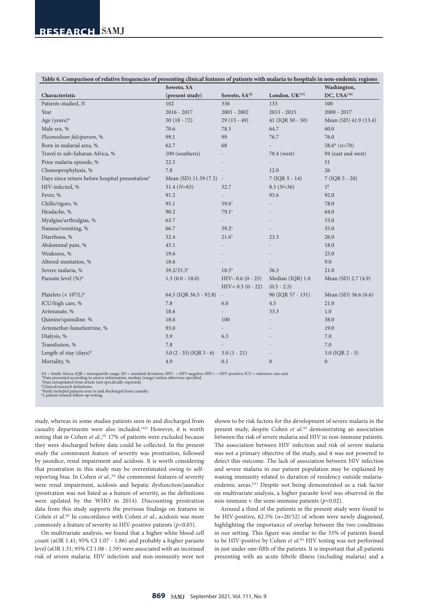| Soweto, SA<br>Washington,<br>Soweto, SA[6]<br>DC, USA <sup>[16]</sup><br>London, UK[15]<br>Characteristic<br>(present study)<br>Patients studied, N<br>336<br>133<br>102<br>100<br>$2016 - 2017$<br>$2001 - 2002$<br>$2013 - 2015$<br>$2000 - 2017$<br>Year<br>Age (years)*<br>$30(18 - 72)$<br>$29(15-49)$<br>41 (IQR 30 - 50)<br>Mean (SD) 41.9 (13.4)<br>Male sex, %<br>70.6<br>78.3<br>64.7<br>60.0<br>76.0<br>Plasmodium falciparum, %<br>99.1<br>99<br>76.7<br>Born in malarial area, %<br>62.7<br>68<br>$58.6*$ $(n=70)$<br>Travel to sub-Saharan Africa, %<br>100 (southern)<br>94 (east and west)<br>70.4 (west)<br>Prior malaria episode, %<br>22.5<br>51<br>Chemoprophylaxis, %<br>7.8<br>12.0<br>26<br>Days since return before hospital presentation*<br>Mean (SD) 11.39 (7.3)<br>$7 (IQR 5 - 14)$<br>$7 (IQR 5 - 20)$<br>$\overline{\phantom{a}}$<br>HIV-infected, %<br>1 <sup>5</sup><br>$31.4 (N=83)$<br>$8.3(N=36)$<br>32.7<br>Fever, %<br>91.2<br>93.6<br>92.0<br>95.1<br>78.0<br>Chills/rigors, %<br>$59.6^{\dagger}$<br>Headache, %<br>90.2<br>$79.1^{\dagger}$<br>64.0<br>Myalgias/arthralgias, %<br>63.7<br>53.0<br>$\overline{a}$<br>Nausea/vomiting, %<br>66.7<br>35.0<br>$39.2^{\dagger}$<br>Diarrhoea, %<br>32.4<br>$21.6^{\dagger}$<br>23.3<br>26.0<br>Abdominal pain, %<br>45.1<br>18.0<br>Weakness, %<br>19.6<br>25.0<br>Altered mentation, %<br>9.0<br>18.6<br>Severe malaria, %<br>$39.2/33.3*$<br>$10.5^{\circ}$<br>36.3<br>21.0<br>Parasite level (%)*<br>Median (IQR) 1.0<br>$1.3(0.0 - 18.0)$<br>$HIV- 0.6 (0 - 25)$<br>Mean (SD) 2.7 (4.9)<br>$HIV + 0.5 (0 - 22)$<br>$(0.5 - 2.5)$<br>Platelets ( $\times$ 10 <sup>9</sup> /L) <sup>*</sup><br>64.5 (IQR 36.5 - 92.8)<br>90 (IQR 57 - 131)<br>Mean (SD) 36.6 (6.6)<br>$\overline{\phantom{a}}$<br>ICU/high care, %<br>4.5<br>7.8<br>6.0<br>21.0<br>Artesunate, %<br>18.6<br>33.3<br>1.0<br>Quinine/quinidine. %<br>18.6<br>100<br>38.0<br>Artemether-lumefantrine, %<br>93.0<br>19.0<br>$\overline{\phantom{0}}$<br>Dialysis, %<br>5.9<br>6.3<br>7.0<br>Transfusion, %<br>7.8<br>7.0<br>Length of stay (days)*<br>$3.0(1 - 21)$<br>$3.0$ (IQR $2 - 5$ )<br>$5.0 (2 - 35) (IQR 3 - 6)$<br>Mortality, %<br>4.9<br>0.1<br>$\boldsymbol{0}$<br>$\boldsymbol{0}$ | Table 6. Comparison of relative frequencies of presenting clinical features of patients with malaria to hospitals in non-endemic regions |  |  |  |  |  |
|--------------------------------------------------------------------------------------------------------------------------------------------------------------------------------------------------------------------------------------------------------------------------------------------------------------------------------------------------------------------------------------------------------------------------------------------------------------------------------------------------------------------------------------------------------------------------------------------------------------------------------------------------------------------------------------------------------------------------------------------------------------------------------------------------------------------------------------------------------------------------------------------------------------------------------------------------------------------------------------------------------------------------------------------------------------------------------------------------------------------------------------------------------------------------------------------------------------------------------------------------------------------------------------------------------------------------------------------------------------------------------------------------------------------------------------------------------------------------------------------------------------------------------------------------------------------------------------------------------------------------------------------------------------------------------------------------------------------------------------------------------------------------------------------------------------------------------------------------------------------------------------------------------------------------------------------------------------------------------------------------------------------------------------------------------------------------------------------------------------------------------------------------------------------------------------------------------------------------------------------------|------------------------------------------------------------------------------------------------------------------------------------------|--|--|--|--|--|
|                                                                                                                                                                                                                                                                                                                                                                                                                                                                                                                                                                                                                                                                                                                                                                                                                                                                                                                                                                                                                                                                                                                                                                                                                                                                                                                                                                                                                                                                                                                                                                                                                                                                                                                                                                                                                                                                                                                                                                                                                                                                                                                                                                                                                                                  |                                                                                                                                          |  |  |  |  |  |
|                                                                                                                                                                                                                                                                                                                                                                                                                                                                                                                                                                                                                                                                                                                                                                                                                                                                                                                                                                                                                                                                                                                                                                                                                                                                                                                                                                                                                                                                                                                                                                                                                                                                                                                                                                                                                                                                                                                                                                                                                                                                                                                                                                                                                                                  |                                                                                                                                          |  |  |  |  |  |
|                                                                                                                                                                                                                                                                                                                                                                                                                                                                                                                                                                                                                                                                                                                                                                                                                                                                                                                                                                                                                                                                                                                                                                                                                                                                                                                                                                                                                                                                                                                                                                                                                                                                                                                                                                                                                                                                                                                                                                                                                                                                                                                                                                                                                                                  |                                                                                                                                          |  |  |  |  |  |
|                                                                                                                                                                                                                                                                                                                                                                                                                                                                                                                                                                                                                                                                                                                                                                                                                                                                                                                                                                                                                                                                                                                                                                                                                                                                                                                                                                                                                                                                                                                                                                                                                                                                                                                                                                                                                                                                                                                                                                                                                                                                                                                                                                                                                                                  |                                                                                                                                          |  |  |  |  |  |
|                                                                                                                                                                                                                                                                                                                                                                                                                                                                                                                                                                                                                                                                                                                                                                                                                                                                                                                                                                                                                                                                                                                                                                                                                                                                                                                                                                                                                                                                                                                                                                                                                                                                                                                                                                                                                                                                                                                                                                                                                                                                                                                                                                                                                                                  |                                                                                                                                          |  |  |  |  |  |
|                                                                                                                                                                                                                                                                                                                                                                                                                                                                                                                                                                                                                                                                                                                                                                                                                                                                                                                                                                                                                                                                                                                                                                                                                                                                                                                                                                                                                                                                                                                                                                                                                                                                                                                                                                                                                                                                                                                                                                                                                                                                                                                                                                                                                                                  |                                                                                                                                          |  |  |  |  |  |
|                                                                                                                                                                                                                                                                                                                                                                                                                                                                                                                                                                                                                                                                                                                                                                                                                                                                                                                                                                                                                                                                                                                                                                                                                                                                                                                                                                                                                                                                                                                                                                                                                                                                                                                                                                                                                                                                                                                                                                                                                                                                                                                                                                                                                                                  |                                                                                                                                          |  |  |  |  |  |
|                                                                                                                                                                                                                                                                                                                                                                                                                                                                                                                                                                                                                                                                                                                                                                                                                                                                                                                                                                                                                                                                                                                                                                                                                                                                                                                                                                                                                                                                                                                                                                                                                                                                                                                                                                                                                                                                                                                                                                                                                                                                                                                                                                                                                                                  |                                                                                                                                          |  |  |  |  |  |
|                                                                                                                                                                                                                                                                                                                                                                                                                                                                                                                                                                                                                                                                                                                                                                                                                                                                                                                                                                                                                                                                                                                                                                                                                                                                                                                                                                                                                                                                                                                                                                                                                                                                                                                                                                                                                                                                                                                                                                                                                                                                                                                                                                                                                                                  |                                                                                                                                          |  |  |  |  |  |
|                                                                                                                                                                                                                                                                                                                                                                                                                                                                                                                                                                                                                                                                                                                                                                                                                                                                                                                                                                                                                                                                                                                                                                                                                                                                                                                                                                                                                                                                                                                                                                                                                                                                                                                                                                                                                                                                                                                                                                                                                                                                                                                                                                                                                                                  |                                                                                                                                          |  |  |  |  |  |
|                                                                                                                                                                                                                                                                                                                                                                                                                                                                                                                                                                                                                                                                                                                                                                                                                                                                                                                                                                                                                                                                                                                                                                                                                                                                                                                                                                                                                                                                                                                                                                                                                                                                                                                                                                                                                                                                                                                                                                                                                                                                                                                                                                                                                                                  |                                                                                                                                          |  |  |  |  |  |
|                                                                                                                                                                                                                                                                                                                                                                                                                                                                                                                                                                                                                                                                                                                                                                                                                                                                                                                                                                                                                                                                                                                                                                                                                                                                                                                                                                                                                                                                                                                                                                                                                                                                                                                                                                                                                                                                                                                                                                                                                                                                                                                                                                                                                                                  |                                                                                                                                          |  |  |  |  |  |
|                                                                                                                                                                                                                                                                                                                                                                                                                                                                                                                                                                                                                                                                                                                                                                                                                                                                                                                                                                                                                                                                                                                                                                                                                                                                                                                                                                                                                                                                                                                                                                                                                                                                                                                                                                                                                                                                                                                                                                                                                                                                                                                                                                                                                                                  |                                                                                                                                          |  |  |  |  |  |
|                                                                                                                                                                                                                                                                                                                                                                                                                                                                                                                                                                                                                                                                                                                                                                                                                                                                                                                                                                                                                                                                                                                                                                                                                                                                                                                                                                                                                                                                                                                                                                                                                                                                                                                                                                                                                                                                                                                                                                                                                                                                                                                                                                                                                                                  |                                                                                                                                          |  |  |  |  |  |
|                                                                                                                                                                                                                                                                                                                                                                                                                                                                                                                                                                                                                                                                                                                                                                                                                                                                                                                                                                                                                                                                                                                                                                                                                                                                                                                                                                                                                                                                                                                                                                                                                                                                                                                                                                                                                                                                                                                                                                                                                                                                                                                                                                                                                                                  |                                                                                                                                          |  |  |  |  |  |
|                                                                                                                                                                                                                                                                                                                                                                                                                                                                                                                                                                                                                                                                                                                                                                                                                                                                                                                                                                                                                                                                                                                                                                                                                                                                                                                                                                                                                                                                                                                                                                                                                                                                                                                                                                                                                                                                                                                                                                                                                                                                                                                                                                                                                                                  |                                                                                                                                          |  |  |  |  |  |
|                                                                                                                                                                                                                                                                                                                                                                                                                                                                                                                                                                                                                                                                                                                                                                                                                                                                                                                                                                                                                                                                                                                                                                                                                                                                                                                                                                                                                                                                                                                                                                                                                                                                                                                                                                                                                                                                                                                                                                                                                                                                                                                                                                                                                                                  |                                                                                                                                          |  |  |  |  |  |
|                                                                                                                                                                                                                                                                                                                                                                                                                                                                                                                                                                                                                                                                                                                                                                                                                                                                                                                                                                                                                                                                                                                                                                                                                                                                                                                                                                                                                                                                                                                                                                                                                                                                                                                                                                                                                                                                                                                                                                                                                                                                                                                                                                                                                                                  |                                                                                                                                          |  |  |  |  |  |
|                                                                                                                                                                                                                                                                                                                                                                                                                                                                                                                                                                                                                                                                                                                                                                                                                                                                                                                                                                                                                                                                                                                                                                                                                                                                                                                                                                                                                                                                                                                                                                                                                                                                                                                                                                                                                                                                                                                                                                                                                                                                                                                                                                                                                                                  |                                                                                                                                          |  |  |  |  |  |
|                                                                                                                                                                                                                                                                                                                                                                                                                                                                                                                                                                                                                                                                                                                                                                                                                                                                                                                                                                                                                                                                                                                                                                                                                                                                                                                                                                                                                                                                                                                                                                                                                                                                                                                                                                                                                                                                                                                                                                                                                                                                                                                                                                                                                                                  |                                                                                                                                          |  |  |  |  |  |
|                                                                                                                                                                                                                                                                                                                                                                                                                                                                                                                                                                                                                                                                                                                                                                                                                                                                                                                                                                                                                                                                                                                                                                                                                                                                                                                                                                                                                                                                                                                                                                                                                                                                                                                                                                                                                                                                                                                                                                                                                                                                                                                                                                                                                                                  |                                                                                                                                          |  |  |  |  |  |
|                                                                                                                                                                                                                                                                                                                                                                                                                                                                                                                                                                                                                                                                                                                                                                                                                                                                                                                                                                                                                                                                                                                                                                                                                                                                                                                                                                                                                                                                                                                                                                                                                                                                                                                                                                                                                                                                                                                                                                                                                                                                                                                                                                                                                                                  |                                                                                                                                          |  |  |  |  |  |
|                                                                                                                                                                                                                                                                                                                                                                                                                                                                                                                                                                                                                                                                                                                                                                                                                                                                                                                                                                                                                                                                                                                                                                                                                                                                                                                                                                                                                                                                                                                                                                                                                                                                                                                                                                                                                                                                                                                                                                                                                                                                                                                                                                                                                                                  |                                                                                                                                          |  |  |  |  |  |
|                                                                                                                                                                                                                                                                                                                                                                                                                                                                                                                                                                                                                                                                                                                                                                                                                                                                                                                                                                                                                                                                                                                                                                                                                                                                                                                                                                                                                                                                                                                                                                                                                                                                                                                                                                                                                                                                                                                                                                                                                                                                                                                                                                                                                                                  |                                                                                                                                          |  |  |  |  |  |
|                                                                                                                                                                                                                                                                                                                                                                                                                                                                                                                                                                                                                                                                                                                                                                                                                                                                                                                                                                                                                                                                                                                                                                                                                                                                                                                                                                                                                                                                                                                                                                                                                                                                                                                                                                                                                                                                                                                                                                                                                                                                                                                                                                                                                                                  |                                                                                                                                          |  |  |  |  |  |
|                                                                                                                                                                                                                                                                                                                                                                                                                                                                                                                                                                                                                                                                                                                                                                                                                                                                                                                                                                                                                                                                                                                                                                                                                                                                                                                                                                                                                                                                                                                                                                                                                                                                                                                                                                                                                                                                                                                                                                                                                                                                                                                                                                                                                                                  |                                                                                                                                          |  |  |  |  |  |
|                                                                                                                                                                                                                                                                                                                                                                                                                                                                                                                                                                                                                                                                                                                                                                                                                                                                                                                                                                                                                                                                                                                                                                                                                                                                                                                                                                                                                                                                                                                                                                                                                                                                                                                                                                                                                                                                                                                                                                                                                                                                                                                                                                                                                                                  |                                                                                                                                          |  |  |  |  |  |
|                                                                                                                                                                                                                                                                                                                                                                                                                                                                                                                                                                                                                                                                                                                                                                                                                                                                                                                                                                                                                                                                                                                                                                                                                                                                                                                                                                                                                                                                                                                                                                                                                                                                                                                                                                                                                                                                                                                                                                                                                                                                                                                                                                                                                                                  |                                                                                                                                          |  |  |  |  |  |
|                                                                                                                                                                                                                                                                                                                                                                                                                                                                                                                                                                                                                                                                                                                                                                                                                                                                                                                                                                                                                                                                                                                                                                                                                                                                                                                                                                                                                                                                                                                                                                                                                                                                                                                                                                                                                                                                                                                                                                                                                                                                                                                                                                                                                                                  |                                                                                                                                          |  |  |  |  |  |
|                                                                                                                                                                                                                                                                                                                                                                                                                                                                                                                                                                                                                                                                                                                                                                                                                                                                                                                                                                                                                                                                                                                                                                                                                                                                                                                                                                                                                                                                                                                                                                                                                                                                                                                                                                                                                                                                                                                                                                                                                                                                                                                                                                                                                                                  |                                                                                                                                          |  |  |  |  |  |
|                                                                                                                                                                                                                                                                                                                                                                                                                                                                                                                                                                                                                                                                                                                                                                                                                                                                                                                                                                                                                                                                                                                                                                                                                                                                                                                                                                                                                                                                                                                                                                                                                                                                                                                                                                                                                                                                                                                                                                                                                                                                                                                                                                                                                                                  |                                                                                                                                          |  |  |  |  |  |
|                                                                                                                                                                                                                                                                                                                                                                                                                                                                                                                                                                                                                                                                                                                                                                                                                                                                                                                                                                                                                                                                                                                                                                                                                                                                                                                                                                                                                                                                                                                                                                                                                                                                                                                                                                                                                                                                                                                                                                                                                                                                                                                                                                                                                                                  |                                                                                                                                          |  |  |  |  |  |
|                                                                                                                                                                                                                                                                                                                                                                                                                                                                                                                                                                                                                                                                                                                                                                                                                                                                                                                                                                                                                                                                                                                                                                                                                                                                                                                                                                                                                                                                                                                                                                                                                                                                                                                                                                                                                                                                                                                                                                                                                                                                                                                                                                                                                                                  |                                                                                                                                          |  |  |  |  |  |
|                                                                                                                                                                                                                                                                                                                                                                                                                                                                                                                                                                                                                                                                                                                                                                                                                                                                                                                                                                                                                                                                                                                                                                                                                                                                                                                                                                                                                                                                                                                                                                                                                                                                                                                                                                                                                                                                                                                                                                                                                                                                                                                                                                                                                                                  |                                                                                                                                          |  |  |  |  |  |

SA = South Africa; IQR = interquartile range; SD = standard deviation; HIV– = HIV-negative; HIV+ = HIV-positive; ICU = intensive care unit.<br>\*Data presented according to osurce information, median (range) unless otherwise s

study, whereas in some studies patients seen in and discharged from casualty departments were also included.<sup>[4,6]</sup> However, it is worth noting that in Cohen *et al.*,<sup>[6]</sup> 17% of patients were excluded because they were discharged before data could be collected. In the present study the commonest feature of severity was prostration, followed by jaundice, renal impairment and acidosis. It is worth considering that prostration in this study may be overestimated owing to selfreporting bias. In Cohen *et al.*,<sup>[6]</sup> the commonest features of severity were renal impairment, acidosis and hepatic dysfunction/jaundice (prostration was not listed as a feature of severity, as the definitions were updated by the WHO in 2014). Discounting prostration data from this study supports the previous findings on features in Cohen *et al*. [6] In concordance with Cohen *et al*., acidosis was more commonly a feature of severity in HIV-positive patients (*p*<0.05).

On multivariate analysis, we found that a higher white blood cell count (aOR 1.41; 95% CI 1.07 - 1.86) and probably a higher parasite level (aOR 1.31; 95% CI 1.08 - 1.59) were associated with an increased risk of severe malaria. HIV infection and non-immunity were not

shown to be risk factors for the development of severe malaria in the present study, despite Cohen et al.<sup>[6]</sup> demonstrating an association between the risk of severe malaria and HIV in non-immune patients. The association between HIV infection and risk of severe malaria was not a primary objective of the study, and it was not powered to detect this outcome. The lack of association between HIV infection and severe malaria in our patient population may be explained by waning immunity related to duration of residency outside malariaendemic areas.[31] Despite not being demonstrated as a risk factor on multivariate analysis, a higher parasite level was observed in the non-immune v. the semi-immune patients (*p*<0.02).

Around a third of the patients in the present study were found to be HIV-positive, 62.5% (*n*=20/32) of whom were newly diagnosed, highlighting the importance of overlap between the two conditions in our setting. This figure was similar to the 33% of patients found to be HIV-positive by Cohen et al.<sup>[6]</sup> HIV testing was not performed in just under one-fifth of the patients. It is important that all patients presenting with an acute febrile illness (including malaria) and a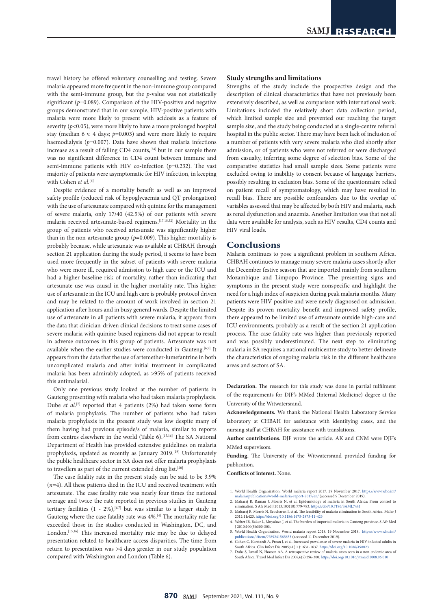travel history be offered voluntary counselling and testing. Severe malaria appeared more frequent in the non-immune group compared with the semi-immune group, but the *p*-value was not statistically significant ( $p=0.089$ ). Comparison of the HIV-positive and negative groups demonstrated that in our sample, HIV-positive patients with malaria were more likely to present with acidosis as a feature of severity  $(p<0.05)$ , were more likely to have a more prolonged hospital stay (median 6 v. 4 days; *p*=0.003) and were more likely to require haemodialysis (p=0.007). Data have shown that malaria infections increase as a result of falling CD4 counts,<sup>[24]</sup> but in our sample there was no significant difference in CD4 count between immune and semi-immune patients with HIV co-infection (*p*=0.232). The vast majority of patients were asymptomatic for HIV infection, in keeping with Cohen et al.<sup>[6]</sup>

Despite evidence of a mortality benefit as well as an improved safety profile (reduced risk of hypoglycaemia and QT prolongation) with the use of artesunate compared with quinine for the management of severe malaria, only 17/40 (42.5%) of our patients with severe malaria received artesunate-based regimens.[17,18,32] Mortality in the group of patients who received artesunate was significantly higher than in the non-artesunate group  $(p=0.009)$ . This higher mortality is probably because, while artesunate was available at CHBAH through section 21 application during the study period, it seems to have been used more frequently in the subset of patients with severe malaria who were more ill, required admission to high care or the ICU and had a higher baseline risk of mortality, rather than indicating that artesunate use was causal in the higher mortality rate. This higher use of artesunate in the ICU and high care is probably protocol driven and may be related to the amount of work involved in section 21 application after hours and in busy general wards. Despite the limited use of artesunate in all patients with severe malaria, it appears from the data that clinician-driven clinical decisions to treat some cases of severe malaria with quinine-based regimens did not appear to result in adverse outcomes in this group of patients. Artesunate was not available when the earlier studies were conducted in Gauteng.<sup>[6,7]</sup> It appears from the data that the use of artemether-lumefantrine in both uncomplicated malaria and after initial treatment in complicated malaria has been admirably adopted, as >95% of patients received this antimalarial.

Only one previous study looked at the number of patients in Gauteng presenting with malaria who had taken malaria prophylaxis. Dube *et al*. [7] reported that 4 patients (2%) had taken some form of malaria prophylaxis. The number of patients who had taken malaria prophylaxis in the present study was low despite many of them having had previous episode/s of malaria, similar to reports from centres elsewhere in the world (Table 6).<sup>[15,16]</sup> The SA National Department of Health has provided extensive guidelines on malaria prophylaxis, updated as recently as January 2019.<sup>[19]</sup> Unfortunately the public healthcare sector in SA does not offer malaria prophylaxis to travellers as part of the current extended drug list.<sup>[20]</sup>

The case fatality rate in the present study can be said to be 3.9% (*n*=4). All these patients died in the ICU and received treatment with artesunate. The case fatality rate was nearly four times the national average and twice the rate reported in previous studies in Gauteng tertiary facilities  $(1 - 2\%)$ , <sup>[6,7]</sup> but was similar to a larger study in Gauteng where the case fatality rate was 4%.[4] The mortality rate far exceeded those in the studies conducted in Washington, DC, and London.<sup>[15,16]</sup> This increased mortality rate may be due to delayed presentation related to healthcare access disparities. The time from return to presentation was >4 days greater in our study population compared with Washington and London (Table 6).

#### **Study strengths and limitations**

Strengths of the study include the prospective design and the description of clinical characteristics that have not previously been extensively described, as well as comparison with international work. Limitations included the relatively short data collection period, which limited sample size and prevented our reaching the target sample size, and the study being conducted at a single-centre referral hospital in the public sector. There may have been lack of inclusion of a number of patients with very severe malaria who died shortly after admission, or of patients who were not referred or were discharged from casualty, inferring some degree of selection bias. Some of the comparative statistics had small sample sizes. Some patients were excluded owing to inability to consent because of language barriers, possibly resulting in exclusion bias. Some of the questionnaire relied on patient recall of symptomatology, which may have resulted in recall bias. There are possible confounders due to the overlap of variables assessed that may be affected by both HIV and malaria, such as renal dysfunction and anaemia. Another limitation was that not all data were available for analysis, such as HIV results, CD4 counts and HIV viral loads.

#### **Conclusions**

Malaria continues to pose a significant problem in southern Africa. CHBAH continues to manage many severe malaria cases shortly after the December festive season that are imported mainly from southern Mozambique and Limpopo Province. The presenting signs and symptoms in the present study were nonspecific and highlight the need for a high index of suspicion during peak malaria months. Many patients were HIV-positive and were newly diagnosed on admission. Despite its proven mortality benefit and improved safety profile, there appeared to be limited use of artesunate outside high-care and ICU environments, probably as a result of the section 21 application process. The case fatality rate was higher than previously reported and was possibly underestimated. The next step to eliminating malaria in SA requires a national multicentre study to better delineate the characteristics of ongoing malaria risk in the different healthcare areas and sectors of SA.

**Declaration.** The research for this study was done in partial fulfilment of the requirements for DJF's MMed (Internal Medicine) degree at the University of the Witwatersrand.

**Acknowledgements.** We thank the National Health Laboratory Service laboratory at CHBAH for assistance with identifying cases, and the nursing staff at CHBAH for assistance with translations.

**Author contributions.** DJF wrote the article. AK and CNM were DJF's MMed supervisors.

**Funding.** The University of the Witwatersrand provided funding for publication.

**Conflicts of interest.** None.

- 1. World Health Organization. World malaria report 2017. 29 November 2017. [https://www.who.int/](https://www.who.int/malaria/publications/world-malaria-report-2017/en/) [malaria/publications/world-malaria-report-2017/en/](https://www.who.int/malaria/publications/world-malaria-report-2017/en/) (accessed 9 December 2019).
- 2. Maharaj R, Raman J, Morris N, et al. Epidemiology of malaria in South Africa: From control to<br>elimination. S Afr Med J 2013;103(10):779-783. https://doi/10.7196/SAMJ.7441<br>3. Maharaj R, Morris N, Seocharan I, et al. The
- 2012;11:423.<https://doi.org/10.1186/1475-2875-11-423>
- 4. Weber IB, Baker L, Mnyaluza J, et al. The burden of imported malaria in Gauteng province. S Afr Med J 2010;100(5):300-303.
- 5. World Health Organization. World malaria report 2018. 19 November 2018. [https://www.who.int/](https://www.who.int/publications/i/item/9789241565653) ns/i/item/9789241565653 (accessed 11 December 2019).
- 6. Cohen C, Karstaedt A, Frean J, et al. Increased prevalence of severe malaria in HIV-infected adults in South Africa. Clin Infect Dis 2005;41(11):1631-1637. <https://doi.org/10.1086/498023>
- 7. Dube S, Ismail N, Hoosen AA. A retrospective review of malaria cases seen in a non-endemic area of South Africa. Travel Med Infect Dis 2008;6(5):296-300.<https://doi.org/10.1016/j.tmaid.2008.06.010>